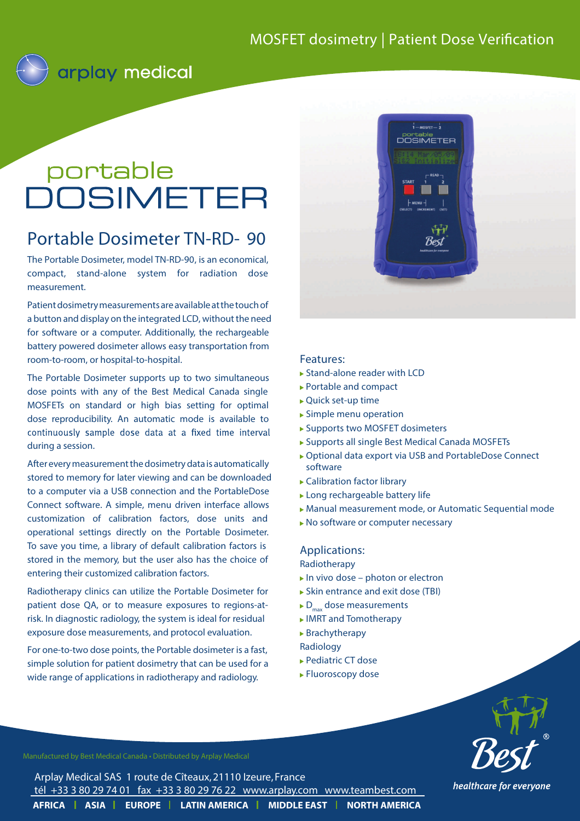

# portable portable<br>DOSIMETER

## **Portable Dosimeter TN-RD- 90**

The Portable Dosimeter, model TN-RD-90, is an economical, compact, stand-alone system for radiation dose measurement.

Patient dosimetry measurements are available at the touch of a button and display on the integrated LCD, without the need for software or a computer. Additionally, the rechargeable battery powered dosimeter allows easy transportation from room-to-room, or hospital-to-hospital.

The Portable Dosimeter supports up to two simultaneous dose points with any of the Best Medical Canada single MOSFETs on standard or high bias setting for optimal dose reproducibility. An automatic mode is available to continuously sample dose data at a fixed time interval during a session.

After every measurement the dosimetry data is automatically stored to memory for later viewing and can be downloaded to a computer via a USB connection and the PortableDose Connect software. A simple, menu driven interface allows customization of calibration factors, dose units and operational settings directly on the Portable Dosimeter. To save you time, a library of default calibration factors is stored in the memory, but the user also has the choice of entering their customized calibration factors.

Radiotherapy clinics can utilize the Portable Dosimeter for patient dose QA, or to measure exposures to regions-atrisk. In diagnostic radiology, the system is ideal for residual exposure dose measurements, and protocol evaluation.

For one-to-two dose points, the Portable dosimeter is a fast, simple solution for patient dosimetry that can be used for a wide range of applications in radiotherapy and radiology.



#### Features:

- ► Stand-alone reader with LCD
- Portable and compact
- Quick set-up time
- Simple menu operation
- ▶ Supports two MOSFET dosimeters
- Supports all single Best Medical Canada MOSFETs
- ▶ Optional data export via USB and PortableDose Connect software
- Calibration factor library
- Long rechargeable battery life
- Manual measurement mode, or Automatic Sequential mode
- ▶ No software or computer necessary

### Applications:

Radiotherapy

- *In vivo* dose photon or electron
- ► Skin entrance and exit dose (TBI)
- D<sub>max</sub> dose measurements
- IMRT and Tomotherapy
- Brachytherapy
- Radiology
- ► Pediatric CT dose
- Fluoroscopy dose



Arplay Medical SAS 1 route de Cîteaux, 21110 Izeure, France tél +33 3 80 29 74 01 fax +33 3 80 29 76 22 www.arplay.com www.teambest.com

**AFRICA | ASIA | EUROPE | LATIN AMERICA | MIDDLE EAST | NORTH AMERICA** 

healthcare for everyone